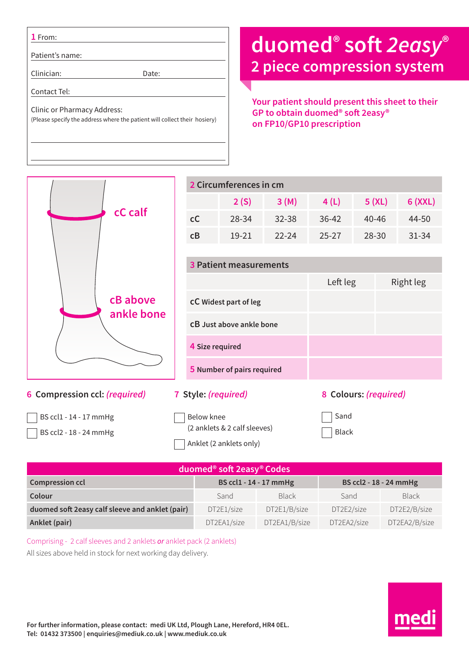**1** From:

Patient's name:

Clinician: Date:

Contact Tel:

Clinic or Pharmacy Address: (Please specify the address where the patient will collect their hosiery)

## **duomed® soft** *2easy***® 2 piece compression system**

**Your patient should present this sheet to their GP to obtain duomed® soft 2easy® on FP10/GP10 prescription**



| duomed <sup>®</sup> soft 2easy® Codes           |                        |               |                        |               |  |  |  |  |
|-------------------------------------------------|------------------------|---------------|------------------------|---------------|--|--|--|--|
| <b>Compression ccl</b>                          | BS ccl1 - 14 - 17 mmHg |               | BS ccl2 - 18 - 24 mmHg |               |  |  |  |  |
| Colour                                          | Sand                   | <b>Black</b>  | Sand                   | <b>Black</b>  |  |  |  |  |
| duomed soft 2easy calf sleeve and anklet (pair) | DT2E1/size             | DT2E1/B/size  | DT2E2/size             | DT2E2/B/size  |  |  |  |  |
| Anklet (pair)                                   | DT2EA1/size            | DT2EA1/B/size | DT2EA2/size            | DT2EA2/B/size |  |  |  |  |

Comprising - 2 calf sleeves and 2 anklets *or* anklet pack (2 anklets) All sizes above held in stock for next working day delivery.